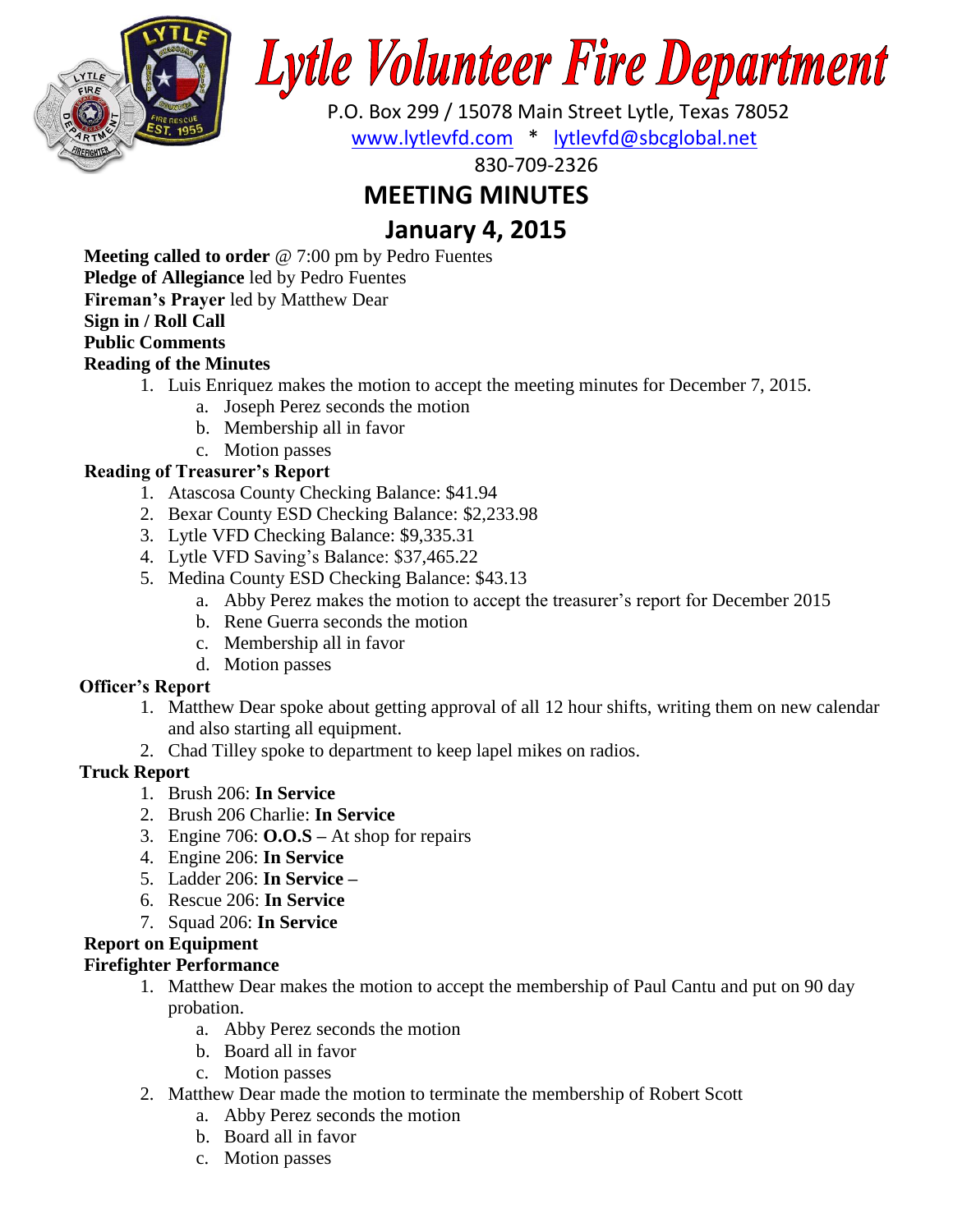

# **Lytle Volunteer Fire Department**

 P.O. Box 299 / 15078 Main Street Lytle, Texas 78052 [www.lytlevfd.com](http://www.lytlevfd.com/) \* [lytlevfd@sbcglobal.net](mailto:lytlevfd@sbcglobal.net)

830-709-2326

## **MEETING MINUTES**

# **January 4, 2015**

**Meeting called to order** @ 7:00 pm by Pedro Fuentes **Pledge of Allegiance** led by Pedro Fuentes **Fireman's Prayer** led by Matthew Dear **Sign in / Roll Call Public Comments**

### **Reading of the Minutes**

- 1. Luis Enriquez makes the motion to accept the meeting minutes for December 7, 2015.
	- a. Joseph Perez seconds the motion
	- b. Membership all in favor
	- c. Motion passes

#### **Reading of Treasurer's Report**

- 1. Atascosa County Checking Balance: \$41.94
- 2. Bexar County ESD Checking Balance: \$2,233.98
- 3. Lytle VFD Checking Balance: \$9,335.31
- 4. Lytle VFD Saving's Balance: \$37,465.22
- 5. Medina County ESD Checking Balance: \$43.13
	- a. Abby Perez makes the motion to accept the treasurer's report for December 2015
	- b. Rene Guerra seconds the motion
	- c. Membership all in favor
	- d. Motion passes

#### **Officer's Report**

- 1. Matthew Dear spoke about getting approval of all 12 hour shifts, writing them on new calendar and also starting all equipment.
- 2. Chad Tilley spoke to department to keep lapel mikes on radios.

#### **Truck Report**

- 1. Brush 206: **In Service**
- 2. Brush 206 Charlie: **In Service**
- 3. Engine 706: **O.O.S –** At shop for repairs
- 4. Engine 206: **In Service**
- 5. Ladder 206: **In Service –**
- 6. Rescue 206: **In Service**
- 7. Squad 206: **In Service**

## **Report on Equipment**

#### **Firefighter Performance**

- 1. Matthew Dear makes the motion to accept the membership of Paul Cantu and put on 90 day probation.
	- a. Abby Perez seconds the motion
	- b. Board all in favor
	- c. Motion passes
- 2. Matthew Dear made the motion to terminate the membership of Robert Scott
	- a. Abby Perez seconds the motion
	- b. Board all in favor
	- c. Motion passes